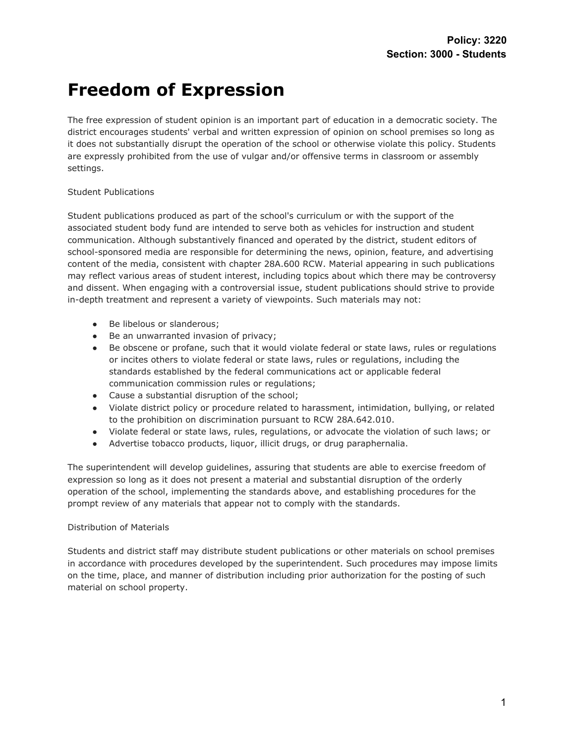## **Freedom of Expression**

The free expression of student opinion is an important part of education in a democratic society. The district encourages students' verbal and written expression of opinion on school premises so long as it does not substantially disrupt the operation of the school or otherwise violate this policy. Students are expressly prohibited from the use of vulgar and/or offensive terms in classroom or assembly settings.

## Student Publications

Student publications produced as part of the school's curriculum or with the support of the associated student body fund are intended to serve both as vehicles for instruction and student communication. Although substantively financed and operated by the district, student editors of school-sponsored media are responsible for determining the news, opinion, feature, and advertising content of the media, consistent with chapter 28A.600 RCW. Material appearing in such publications may reflect various areas of student interest, including topics about which there may be controversy and dissent. When engaging with a controversial issue, student publications should strive to provide in-depth treatment and represent a variety of viewpoints. Such materials may not:

- Be libelous or slanderous;
- Be an unwarranted invasion of privacy;
- Be obscene or profane, such that it would violate federal or state laws, rules or regulations or incites others to violate federal or state laws, rules or regulations, including the standards established by the federal communications act or applicable federal communication commission rules or regulations;
- Cause a substantial disruption of the school;
- Violate district policy or procedure related to harassment, intimidation, bullying, or related to the prohibition on discrimination pursuant to RCW 28A.642.010.
- Violate federal or state laws, rules, regulations, or advocate the violation of such laws; or
- Advertise tobacco products, liquor, illicit drugs, or drug paraphernalia.

The superintendent will develop guidelines, assuring that students are able to exercise freedom of expression so long as it does not present a material and substantial disruption of the orderly operation of the school, implementing the standards above, and establishing procedures for the prompt review of any materials that appear not to comply with the standards.

## Distribution of Materials

Students and district staff may distribute student publications or other materials on school premises in accordance with procedures developed by the superintendent. Such procedures may impose limits on the time, place, and manner of distribution including prior authorization for the posting of such material on school property.